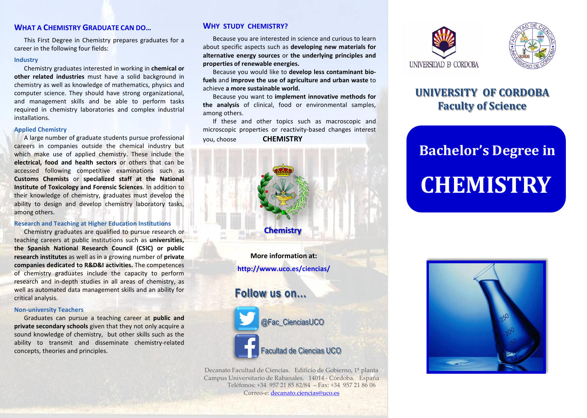## **WHAT A CHEMISTRY GRADUATE CAN DO...**

This First Degree in Chemistry prepares graduates for a career in the following four fields:

### **Industry**

Chemistry graduates interested in working in **chemical or other related industries** must have a solid background in chemistry as well as knowledge of mathematics, physics and computer science. They should have strong organizational, and management skills and be able to perform tasks required in chemistry laboratories and complex industrial installations.

#### **Applied Chemistry**

A large number of graduate students pursue professional careers in companies outside the chemical industry but which make use of applied chemistry. These include the **electrical, food and health sectors** or others that can be accessed following competitive examinations such as **Customs Chemists** or **specialized staff at the National Institute of Toxicology and Forensic Sciences**. In addition to their knowledge of chemistry, graduates must develop the ability to design and develop chemistry laboratory tasks, among others.

### **Research and Teaching at Higher Education Institutions**

Chemistry graduates are qualified to pursue research or teaching careers at public institutions such as **universities, the Spanish National Research Council (CSIC) or public research institutes** as well as in a growing number of **private companies dedicated to R&D&I activities.** The competences of chemistry graduates include the capacity to perform research and in-depth studies in all areas of chemistry, as well as automated data management skills and an ability for critical analysis.

### **Non-university Teachers**

Graduates can pursue a teaching career at **public and private secondary schools** given that they not only acquire a sound knowledge of chemistry, but other skills such as the ability to transmit and disseminate chemistry-related concepts, theories and principles.

## **WHY STUDY CHEMISTRY?**

Because you are interested in science and curious to learn about specific aspects such as **developing new materials for alternative energy sources** or **the underlying principles and properties of renewable energies.**

Because you would like to **develop less contaminant biofuels** and **improve the use of agriculture and urban waste** to achieve **a more sustainable world.**

Because you want to **implement innovative methods for the analysis** of clinical, food or environmental samples, among others.

If these and other topics such as macroscopic and microscopic properties or reactivity-based changes interest you, choose **CHEMISTRY**



**http://www.uco.es/ciencias/**

# **Follow us on…**



Decanato Facultad de Ciencias. Edificio de Gobierno, 1ª planta Campus Universitario de Rabanales. 14014 - Córdoba. España Teléfonos: +34 957 21 85 82/84 – Fax: +34 957 21 86 06 Correo-e: [decanato.ciencias@uco.es](mailto:decanato.ciencias@uco.es) 





# **UNIVERSITY OF CORDOBA Faculty of Science**

# **Bachelor's Degree in**

# **CHEMISTRY**